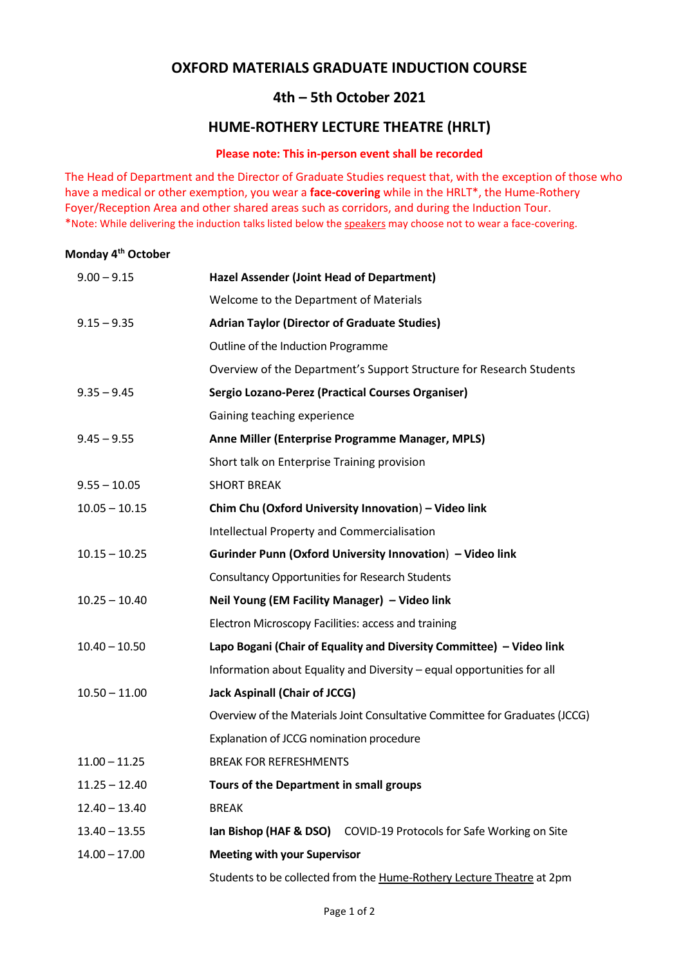# **OXFORD MATERIALS GRADUATE INDUCTION COURSE**

# **4th – 5th October 2021**

# **HUME-ROTHERY LECTURE THEATRE (HRLT)**

### **Please note: This in-person event shall be recorded**

The Head of Department and the Director of Graduate Studies request that, with the exception of those who have a medical or other exemption, you wear a **face-covering** while in the HRLT\*, the Hume-Rothery Foyer/Reception Area and other shared areas such as corridors, and during the Induction Tour. \*Note: While delivering the induction talks listed below the speakers may choose not to wear a face-covering.

#### **Monday 4th October**

| $9.00 - 9.15$   | <b>Hazel Assender (Joint Head of Department)</b>                            |
|-----------------|-----------------------------------------------------------------------------|
|                 | Welcome to the Department of Materials                                      |
| $9.15 - 9.35$   | <b>Adrian Taylor (Director of Graduate Studies)</b>                         |
|                 | Outline of the Induction Programme                                          |
|                 | Overview of the Department's Support Structure for Research Students        |
| $9.35 - 9.45$   | Sergio Lozano-Perez (Practical Courses Organiser)                           |
|                 | Gaining teaching experience                                                 |
| $9.45 - 9.55$   | Anne Miller (Enterprise Programme Manager, MPLS)                            |
|                 | Short talk on Enterprise Training provision                                 |
| $9.55 - 10.05$  | <b>SHORT BREAK</b>                                                          |
| $10.05 - 10.15$ | Chim Chu (Oxford University Innovation) - Video link                        |
|                 | <b>Intellectual Property and Commercialisation</b>                          |
| $10.15 - 10.25$ | Gurinder Punn (Oxford University Innovation) - Video link                   |
|                 | <b>Consultancy Opportunities for Research Students</b>                      |
| $10.25 - 10.40$ | Neil Young (EM Facility Manager) - Video link                               |
|                 | Electron Microscopy Facilities: access and training                         |
| $10.40 - 10.50$ | Lapo Bogani (Chair of Equality and Diversity Committee) - Video link        |
|                 | Information about Equality and Diversity - equal opportunities for all      |
| $10.50 - 11.00$ | <b>Jack Aspinall (Chair of JCCG)</b>                                        |
|                 | Overview of the Materials Joint Consultative Committee for Graduates (JCCG) |
|                 | Explanation of JCCG nomination procedure                                    |
| $11.00 - 11.25$ | <b>BREAK FOR REFRESHMENTS</b>                                               |
| $11.25 - 12.40$ | Tours of the Department in small groups                                     |
| $12.40 - 13.40$ | <b>BREAK</b>                                                                |
| $13.40 - 13.55$ | Ian Bishop (HAF & DSO)<br>COVID-19 Protocols for Safe Working on Site       |
| $14.00 - 17.00$ | <b>Meeting with your Supervisor</b>                                         |
|                 | Students to be collected from the Hume-Rothery Lecture Theatre at 2pm       |